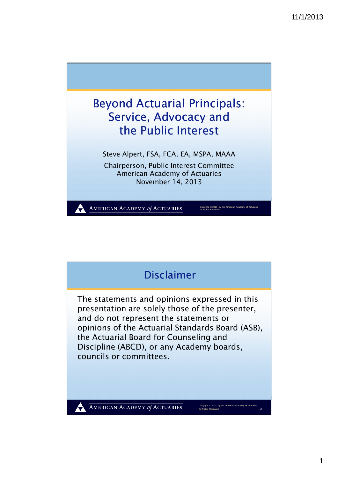



1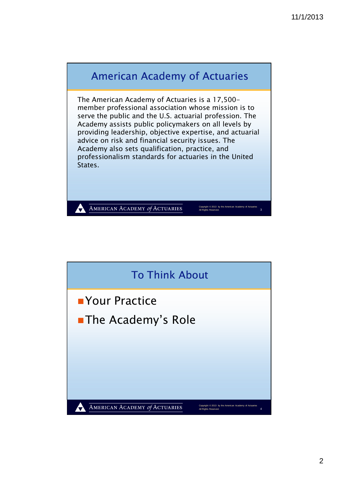

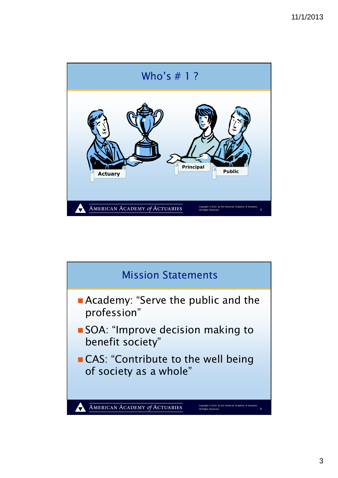

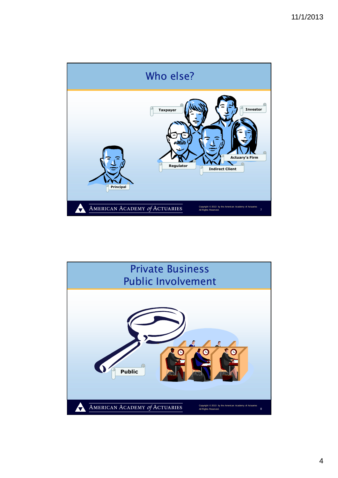

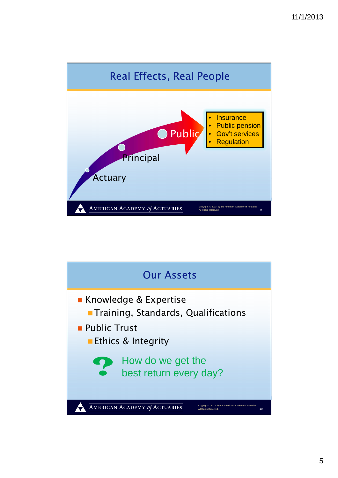

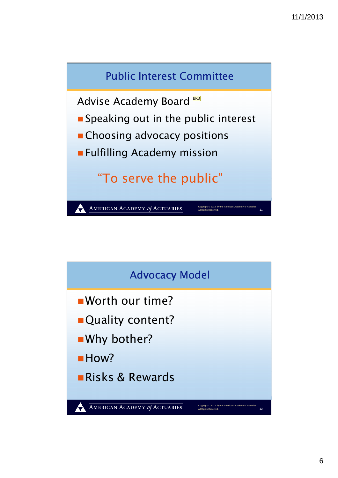

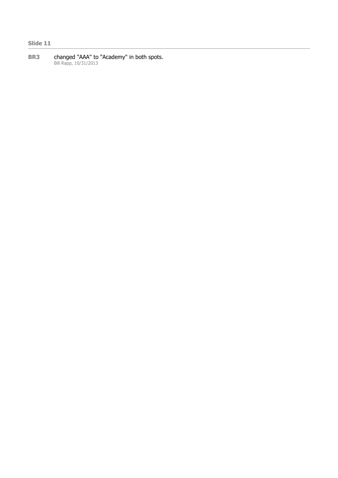## **Slide 11**

**BR3** changed "AAA" to "Academy" in both spots. Bill Rapp, 10/31/2013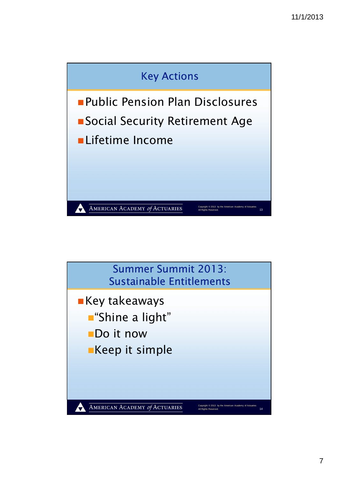

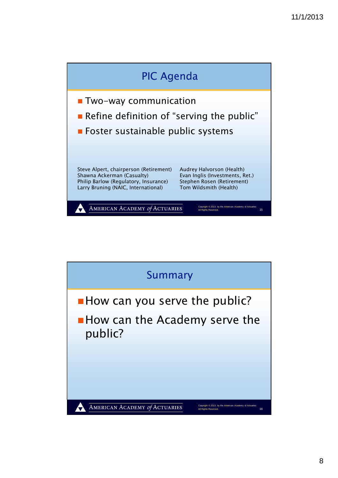